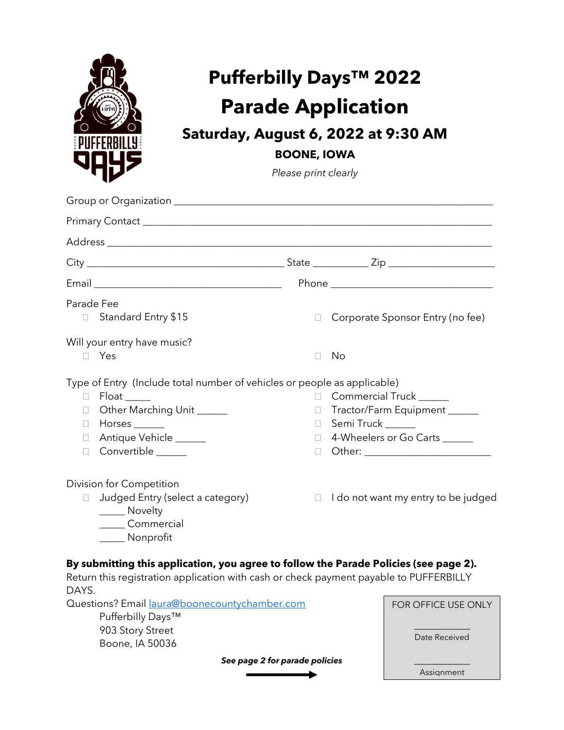| Pufferbilly Days™ 2022<br><b>Parade Application</b><br>Saturday, August 6, 2022 at 9:30 AM<br><b>BOONE, IOWA</b><br>Please print clearly                                                                     |                                                                                                                                                                                 |
|--------------------------------------------------------------------------------------------------------------------------------------------------------------------------------------------------------------|---------------------------------------------------------------------------------------------------------------------------------------------------------------------------------|
|                                                                                                                                                                                                              |                                                                                                                                                                                 |
|                                                                                                                                                                                                              | Primary Contact <b>Figure 2018</b> Contact <b>Figure 2018</b>                                                                                                                   |
|                                                                                                                                                                                                              |                                                                                                                                                                                 |
|                                                                                                                                                                                                              |                                                                                                                                                                                 |
|                                                                                                                                                                                                              |                                                                                                                                                                                 |
| Parade Fee<br>Standard Entry \$15<br>$\Box$                                                                                                                                                                  | $\Box$<br>Corporate Sponsor Entry (no fee)                                                                                                                                      |
| Will your entry have music?<br>$\Box$ Yes                                                                                                                                                                    | No<br>П                                                                                                                                                                         |
| Type of Entry (Include total number of vehicles or people as applicable)<br>u.<br>Other Marching Unit<br>$\Box$<br>Horses ______<br>$\Box$<br>Antique Vehicle _____<br>$\Box$<br>Convertible _____<br>$\Box$ | Commercial Truck _____<br><b>College</b><br>□ Tractor/Farm Equipment _____<br>Semi Truck ______<br>$\Box$<br>4-Wheelers or Go Carts<br>П.<br>Other:<br>$\Box$                   |
| Division for Competition<br>Judged Entry (select a category)<br>$\Box$<br>_____ Novelty<br>_____ Commercial<br>____ Nonprofit                                                                                | I do not want my entry to be judged<br>$\Box$                                                                                                                                   |
| DAYS.                                                                                                                                                                                                        | By submitting this application, you agree to follow the Parade Policies (see page 2).<br>Return this registration application with cash or check payment payable to PUFFERBILLY |
| Questions? Email laura@boonecountychamber.com<br>Pufferbilly Days™<br>903 Story Street<br>Boone, IA 50036                                                                                                    | FOR OFFICE USE ONLY<br>Date Received                                                                                                                                            |
|                                                                                                                                                                                                              | See page 2 for parade policies<br>Assignment                                                                                                                                    |